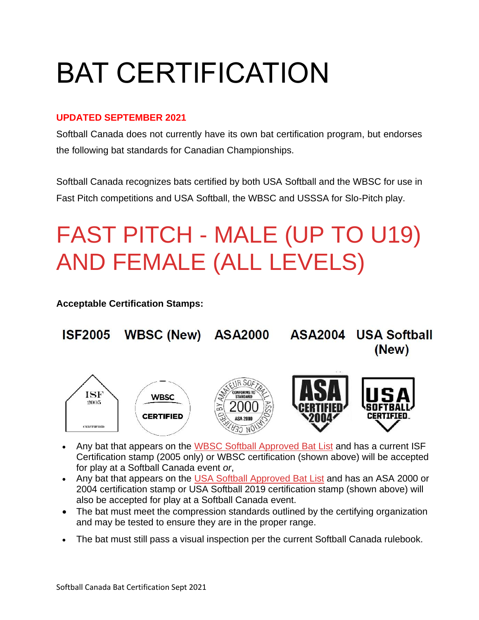# BAT CERTIFICATION

#### **UPDATED SEPTEMBER 2021**

Softball Canada does not currently have its own bat certification program, but endorses the following bat standards for Canadian Championships.

Softball Canada recognizes bats certified by both USA Softball and the WBSC for use in Fast Pitch competitions and USA Softball, the WBSC and USSSA for Slo-Pitch play.

## FAST PITCH - MALE (UP TO U19) AND FEMALE (ALL LEVELS)

**Acceptable Certification Stamps:**



- Any bat that appears on the [WBSC Softball Approved Bat List](http://www.wbsc.org/softball/softball-bat-list/) and has a current ISF Certification stamp (2005 only) or WBSC certification (shown above) will be accepted for play at a Softball Canada event *or*,
- Any bat that appears on the [USA Softball Approved Bat List](http://www.teamusa.org/usa-softball/play-usa-softball/certified-usa-softball-equipment) and has an ASA 2000 or 2004 certification stamp or USA Softball 2019 certification stamp (shown above) will also be accepted for play at a Softball Canada event.
- The bat must meet the compression standards outlined by the certifying organization and may be tested to ensure they are in the proper range.
- The bat must still pass a visual inspection per the current Softball Canada rulebook.